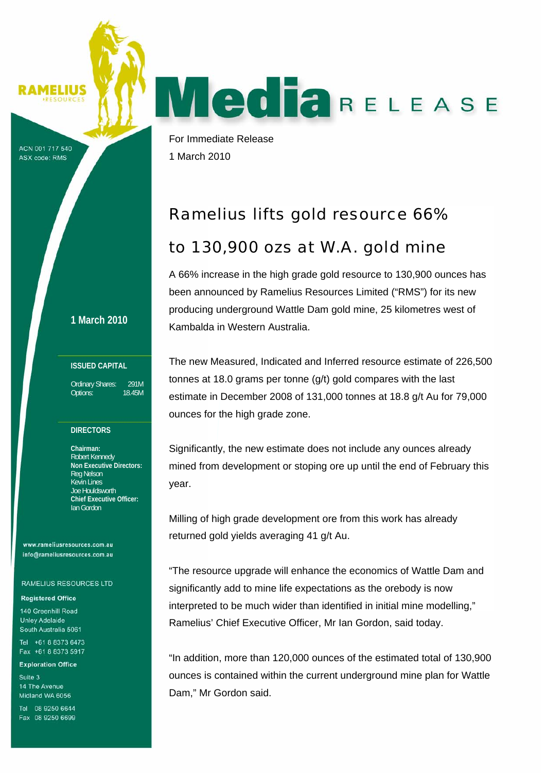

ACN 001 717 540 **ASX code: RMS** 

**1 March 2010**

### **ISSUED CAPITAL**

Ordinary Shares: 291M<br>Options: 18.45M Options:

### **DIRECTORS**

**Chairman:**  Robert Kennedy **Non Executive Directors:**  Reg Nelson Kevin Lines Joe Houldsworth **Chief Executive Officer:**  Ian Gordon

www.rameliusresources.com.au info@rameliusresources.com.au

#### **RAMELIUS RESOURCES LTD**

### **Registered Office**

140 Greenhill Road **Unley Adelaide** South Australia 5061 Tel +61 8 8373 6473

Fax +61 8 8373 5917

**Exploration Office** 

Suite 3 14 The Avenue Midland WA 6056

Tel 08 9250 6644 Fax 08 9250 6699

For Immediate Release 1 March 2010

# Ramelius lifts gold resource 66%

## to 130,900 ozs at W.A. gold mine

A 66% increase in the high grade gold resource to 130,900 ounces has been announced by Ramelius Resources Limited ("RMS") for its new producing underground Wattle Dam gold mine, 25 kilometres west of Kambalda in Western Australia.

The new Measured, Indicated and Inferred resource estimate of 226,500 tonnes at 18.0 grams per tonne (g/t) gold compares with the last estimate in December 2008 of 131,000 tonnes at 18.8 g/t Au for 79,000 ounces for the high grade zone.

Significantly, the new estimate does not include any ounces already mined from development or stoping ore up until the end of February this year.

Milling of high grade development ore from this work has already returned gold yields averaging 41 g/t Au.

"The resource upgrade will enhance the economics of Wattle Dam and significantly add to mine life expectations as the orebody is now interpreted to be much wider than identified in initial mine modelling," Ramelius' Chief Executive Officer, Mr Ian Gordon, said today.

"In addition, more than 120,000 ounces of the estimated total of 130,900 ounces is contained within the current underground mine plan for Wattle Dam," Mr Gordon said.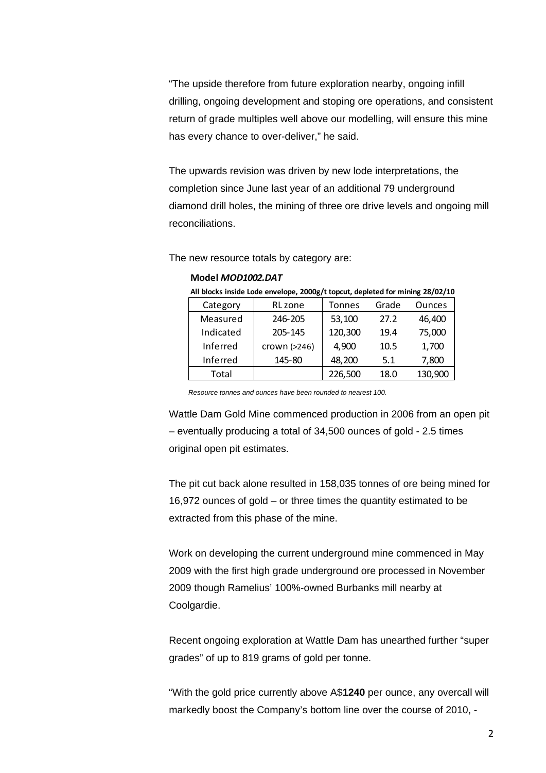"The upside therefore from future exploration nearby, ongoing infill drilling, ongoing development and stoping ore operations, and consistent return of grade multiples well above our modelling, will ensure this mine has every chance to over-deliver," he said.

The upwards revision was driven by new lode interpretations, the completion since June last year of an additional 79 underground diamond drill holes, the mining of three ore drive levels and ongoing mill reconciliations.

The new resource totals by category are:

## **Model** *MOD1002.DAT*

**All blocks inside Lode envelope, 2000g/t topcut, depleted for mining 28/02/10**

| Category  | RL zone      | Tonnes  | Grade | <b>Ounces</b> |
|-----------|--------------|---------|-------|---------------|
| Measured  | 246-205      | 53,100  | 27.2  | 46,400        |
| Indicated | 205-145      | 120,300 | 19.4  | 75,000        |
| Inferred  | crown (>246) | 4,900   | 10.5  | 1,700         |
| Inferred  | 145-80       | 48,200  | 5.1   | 7,800         |
| Total     |              | 226,500 | 18.0  | 130,900       |

*Resource tonnes and ounces have been rounded to nearest 100.* 

Wattle Dam Gold Mine commenced production in 2006 from an open pit – eventually producing a total of 34,500 ounces of gold - 2.5 times original open pit estimates.

The pit cut back alone resulted in 158,035 tonnes of ore being mined for 16,972 ounces of gold – or three times the quantity estimated to be extracted from this phase of the mine.

Work on developing the current underground mine commenced in May 2009 with the first high grade underground ore processed in November 2009 though Ramelius' 100%-owned Burbanks mill nearby at Coolgardie.

Recent ongoing exploration at Wattle Dam has unearthed further "super grades" of up to 819 grams of gold per tonne.

"With the gold price currently above A\$**1240** per ounce, any overcall will markedly boost the Company's bottom line over the course of 2010, -